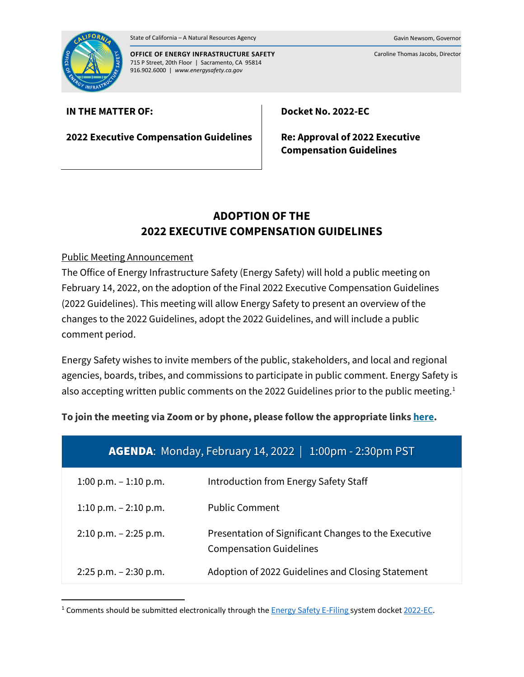



**OFFICE OF ENERGY INFRASTRUCTURE SAFETY** 715 P Street, 20th Floor | Sacramento, CA 95814 916.902.6000 | *www.energysafety.ca.gov*

Caroline Thomas Jacobs, Director

## **IN THE MATTER OF:**

**2022 Executive Compensation Guidelines**

**Docket No. 2022-EC**

**Re: Approval of 2022 Executive Compensation Guidelines**

# **ADOPTION OF THE 2022 EXECUTIVE COMPENSATION GUIDELINES**

## Public Meeting Announcement

The Office of Energy Infrastructure Safety (Energy Safety) will hold a public meeting on February 14, 2022, on the adoption of the Final 2022 Executive Compensation Guidelines (2022 Guidelines). This meeting will allow Energy Safety to present an overview of the changes to the 2022 Guidelines, adopt the 2022 Guidelines, and will include a public comment period.

Energy Safety wishes to invite members of the public, stakeholders, and local and regional agencies, boards, tribes, and commissions to participate in public comment. Energy Safety is also accepting written public comments on the 2022 Guidelines prior to the public meeting.<sup>[1](#page-0-0)</sup>

| To join the meeting via Zoom or by phone, please follow the appropriate links <u>here</u> . |
|---------------------------------------------------------------------------------------------|
|                                                                                             |

| <b>AGENDA:</b> Monday, February 14, 2022<br>$1:00$ pm - 2:30pm PST |                                                                                        |
|--------------------------------------------------------------------|----------------------------------------------------------------------------------------|
| $1:00$ p.m. $-1:10$ p.m.                                           | Introduction from Energy Safety Staff                                                  |
| 1:10 p.m. $- 2:10$ p.m.                                            | <b>Public Comment</b>                                                                  |
| $2:10$ p.m. $-2:25$ p.m.                                           | Presentation of Significant Changes to the Executive<br><b>Compensation Guidelines</b> |
| $2:25$ p.m. $-2:30$ p.m.                                           | Adoption of 2022 Guidelines and Closing Statement                                      |

<span id="page-0-0"></span><sup>&</sup>lt;sup>1</sup> Comments should be submitted electronically through the  $Energy$  Safety E-Filing system docket [2022-EC.](https://efiling.energysafety.ca.gov/Lists/DocketLog.aspx?docketnumber=2022-EC)